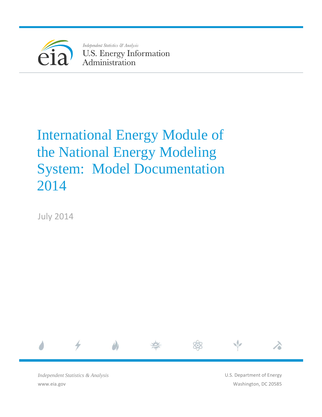

Independent Statistics & Analysis **U.S. Energy Information** Administration

# International Energy Module of the National Energy Modeling System: Model Documentation 2014

July 2014



*Independent Statistics & Analysis* www.eia.gov

U.S. Department of Energy Washington, DC 20585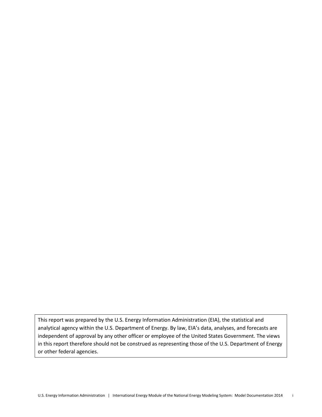This report was prepared by the U.S. Energy Information Administration (EIA), the statistical and analytical agency within the U.S. Department of Energy. By law, EIA's data, analyses, and forecasts are independent of approval by any other officer or employee of the United States Government. The views in this report therefore should not be construed as representing those of the U.S. Department of Energy or other federal agencies.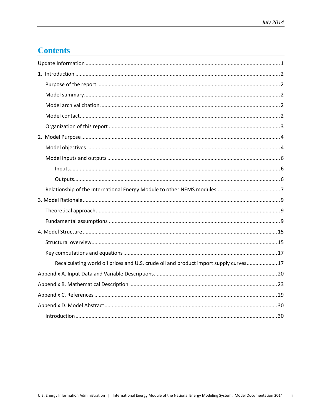# **Contents**

| Recalculating world oil prices and U.S. crude oil and product import supply curves 17 |
|---------------------------------------------------------------------------------------|
|                                                                                       |
|                                                                                       |
|                                                                                       |
|                                                                                       |
|                                                                                       |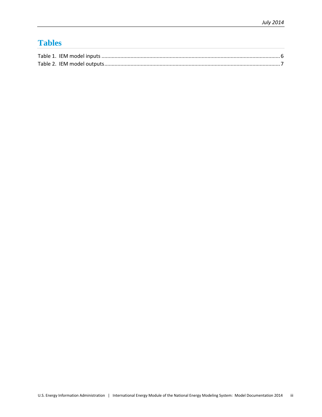# **Tables**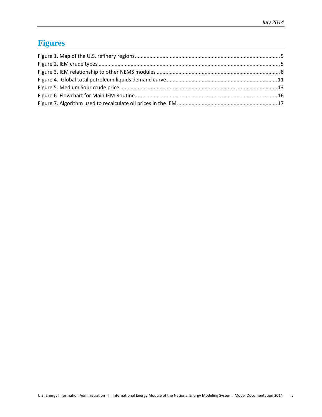# **Figures**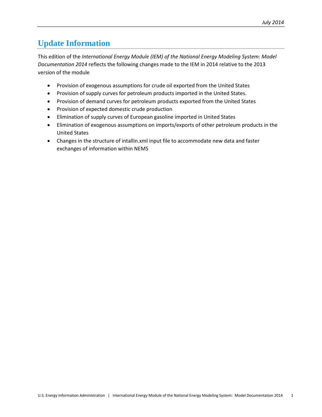# <span id="page-5-0"></span>**Update Information**

This edition of the *International Energy Module (IEM) of the National Energy Modeling System: Model Documentation 2014* reflects the following changes made to the IEM in 2014 relative to the 2013 version of the module

- Provision of exogenous assumptions for crude oil exported from the United States
- Provision of supply curves for petroleum products imported in the United States.
- Provision of demand curves for petroleum products exported from the United States
- Provision of expected domestic crude production
- Elimination of supply curves of European gasoline imported in United States
- Elimination of exogenous assumptions on imports/exports of other petroleum products in the United States
- Changes in the structure of intallin.xml input file to accommodate new data and faster exchanges of information within NEMS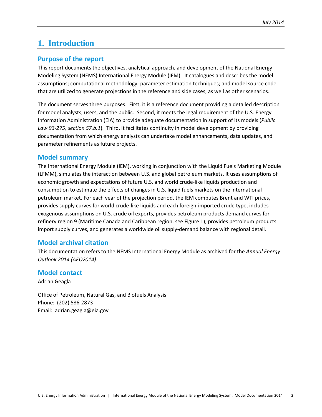# <span id="page-6-0"></span>**1. Introduction**

### <span id="page-6-1"></span>**Purpose of the report**

This report documents the objectives, analytical approach, and development of the National Energy Modeling System (NEMS) International Energy Module (IEM). It catalogues and describes the model assumptions; computational methodology; parameter estimation techniques; and model source code that are utilized to generate projections in the reference and side cases, as well as other scenarios.

The document serves three purposes. First, it is a reference document providing a detailed description for model analysts, users, and the public. Second, it meets the legal requirement of the U.S. Energy Information Administration (EIA) to provide adequate documentation in support of its models (*Public Law 93-275, section 57.b.1*). Third, it facilitates continuity in model development by providing documentation from which energy analysts can undertake model enhancements, data updates, and parameter refinements as future projects.

### <span id="page-6-2"></span>**Model summary**

The International Energy Module (IEM), working in conjunction with the Liquid Fuels Marketing Module (LFMM), simulates the interaction between U.S. and global petroleum markets. It uses assumptions of economic growth and expectations of future U.S. and world crude-like liquids production and consumption to estimate the effects of changes in U.S. liquid fuels markets on the international petroleum market. For each year of the projection period, the IEM computes Brent and WTI prices, provides supply curves for world crude-like liquids and each foreign-imported crude type, includes exogenous assumptions on U.S. crude oil exports, provides petroleum products demand curves for refinery region 9 (Maritime Canada and Caribbean region, see Figure 1), provides petroleum products import supply curves, and generates a worldwide oil supply-demand balance with regional detail.

## <span id="page-6-3"></span>**Model archival citation**

This documentation refers to the NEMS International Energy Module as archived for the *Annual Energy Outlook 2014 (AEO2014)*.

### <span id="page-6-4"></span>**Model contact**

Adrian Geagla

Office of Petroleum, Natural Gas, and Biofuels Analysis Phone: (202) 586-2873 Email: adrian.geagla@eia.gov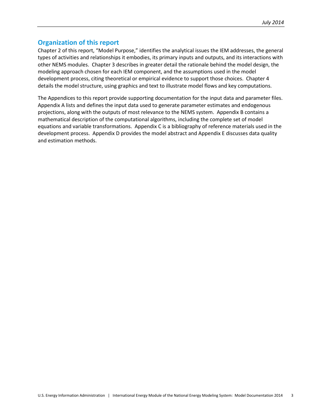### <span id="page-7-0"></span>**Organization of this report**

Chapter 2 of this report, "Model Purpose," identifies the analytical issues the IEM addresses, the general types of activities and relationships it embodies, its primary inputs and outputs, and its interactions with other NEMS modules. Chapter 3 describes in greater detail the rationale behind the model design, the modeling approach chosen for each IEM component, and the assumptions used in the model development process, citing theoretical or empirical evidence to support those choices. Chapter 4 details the model structure, using graphics and text to illustrate model flows and key computations.

The Appendices to this report provide supporting documentation for the input data and parameter files. Appendix A lists and defines the input data used to generate parameter estimates and endogenous projections, along with the outputs of most relevance to the NEMS system. Appendix B contains a mathematical description of the computational algorithms, including the complete set of model equations and variable transformations. Appendix C is a bibliography of reference materials used in the development process. Appendix D provides the model abstract and Appendix E discusses data quality and estimation methods.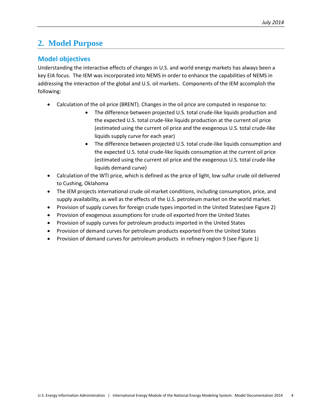# <span id="page-8-0"></span>**2. Model Purpose**

# <span id="page-8-1"></span>**Model objectives**

Understanding the interactive effects of changes in U.S. and world energy markets has always been a key EIA focus. The IEM was incorporated into NEMS in order to enhance the capabilities of NEMS in addressing the interaction of the global and U.S. oil markets. Components of the IEM accomplish the following:

- Calculation of the oil price (BRENT). Changes in the oil price are computed in response to:
	- The difference between projected U.S. total crude-like liquids production and the expected U.S. total crude-like liquids production at the current oil price (estimated using the current oil price and the exogenous U.S. total crude-like liquids supply curve for each year)
	- The difference between projected U.S. total crude-like liquids consumption and the expected U.S. total crude-like liquids consumption at the current oil price (estimated using the current oil price and the exogenous U.S. total crude-like liquids demand curve)
- Calculation of the WTI price, which is defined as the price of light, low sulfur crude oil delivered to Cushing, Oklahoma
- The IEM projects international crude oil market conditions, including consumption, price, and supply availability, as well as the effects of the U.S. petroleum market on the world market.
- Provision of supply curves for foreign crude types imported in the United States(see Figure 2)
- Provision of exogenous assumptions for crude oil exported from the United States
- Provision of supply curves for petroleum products imported in the United States
- Provision of demand curves for petroleum products exported from the United States
- Provision of demand curves for petroleum products in refinery region 9 (see Figure 1)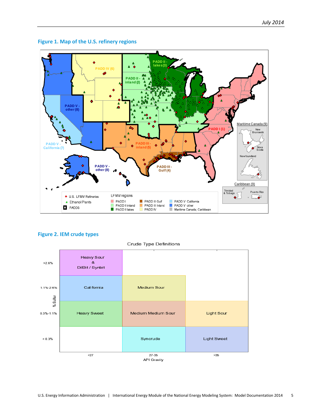

#### <span id="page-9-0"></span>**Figure 1. Map of the U.S. refinery regions**

### <span id="page-9-1"></span>**Figure 2. IEM crude types**



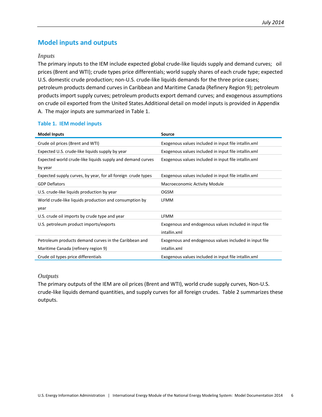# <span id="page-10-0"></span>**Model inputs and outputs**

### <span id="page-10-1"></span>*Inputs*

The primary inputs to the IEM include expected global crude-like liquids supply and demand curves; oil prices (Brent and WTI); crude types price differentials; world supply shares of each crude type; expected U.S. domestic crude production; non-U.S. crude-like liquids demands for the three price cases; petroleum products demand curves in Caribbean and Maritime Canada (Refinery Region 9); petroleum products import supply curves; petroleum products export demand curves; and exogenous assumptions on crude oil exported from the United States.Additional detail on model inputs is provided in Appendix A. The major inputs are summarized in Table 1.

### <span id="page-10-3"></span>**Table 1. IEM model inputs**

| <b>Model Inputs</b>                                          | <b>Source</b>                                          |
|--------------------------------------------------------------|--------------------------------------------------------|
| Crude oil prices (Brent and WTI)                             | Exogenous values included in input file intallin.xml   |
| Expected U.S. crude-like liquids supply by year              | Exogenous values included in input file intallin.xml   |
| Expected world crude-like liquids supply and demand curves   | Exogenous values included in input file intallin.xml   |
| by year                                                      |                                                        |
| Expected supply curves, by year, for all foreign crude types | Exogenous values included in input file intallin.xml   |
| <b>GDP Deflators</b>                                         | <b>Macroeconomic Activity Module</b>                   |
| U.S. crude-like liquids production by year                   | <b>OGSM</b>                                            |
| World crude-like liquids production and consumption by       | <b>LFMM</b>                                            |
| year                                                         |                                                        |
| U.S. crude oil imports by crude type and year                | <b>LFMM</b>                                            |
| U.S. petroleum product imports/exports                       | Exogenous and endogenous values included in input file |
|                                                              | intallin.xml                                           |
| Petroleum products demand curves in the Caribbean and        | Exogenous and endogenous values included in input file |
| Maritime Canada (refinery region 9)                          | intallin.xml                                           |
| Crude oil types price differentials                          | Exogenous values included in input file intallin.xml   |

#### <span id="page-10-2"></span>*Outputs*

The primary outputs of the IEM are oil prices (Brent and WTI), world crude supply curves, Non-U.S. crude-like liquids demand quantities, and supply curves for all foreign crudes. Table 2 summarizes these outputs.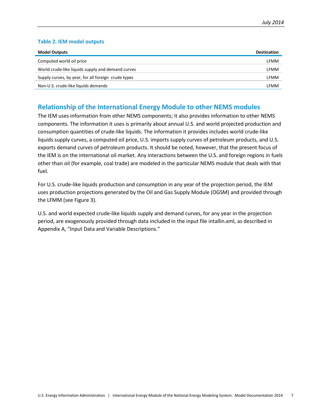#### <span id="page-11-1"></span>**Table 2. IEM model outputs**

| <b>Model Outputs</b>                                | <b>Destination</b> |
|-----------------------------------------------------|--------------------|
| Computed world oil price                            | LFMM               |
| World crude-like liquids supply and demand curves   | LFMM               |
| Supply curves, by year, for all foreign crude types | LFMM               |
| Non-U.S. crude-like liquids demands                 | LFMM               |

### <span id="page-11-0"></span>**Relationship of the International Energy Module to other NEMS modules**

The IEM uses information from other NEMS components; it also provides information to other NEMS components. The information it uses is primarily about annual U.S. and world projected production and consumption quantities of crude-like liquids. The information it provides includes world crude-like liquids supply curves, a computed oil price, U.S. imports supply curves of petroleum products, and U.S. exports demand curves of petroleum products. It should be noted, however, that the present focus of the IEM is on the international oil market. Any interactions between the U.S. and foreign regions in fuels other than oil (for example, coal trade) are modeled in the particular NEMS module that deals with that fuel.

For U.S. crude-like liquids production and consumption in any year of the projection period, the IEM uses production projections generated by the Oil and Gas Supply Module (OGSM) and provided through the LFMM (see Figure 3).

U.S. and world expected crude-like liquids supply and demand curves, for any year in the projection period, are exogenously provided through data included in the input file intallin.xml, as described in Appendix A, "Input Data and Variable Descriptions."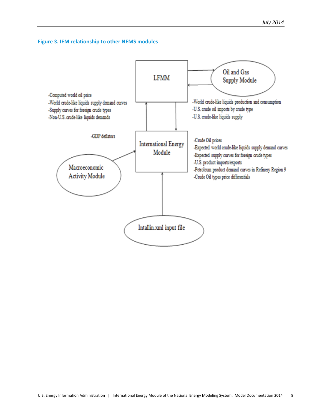<span id="page-12-0"></span>

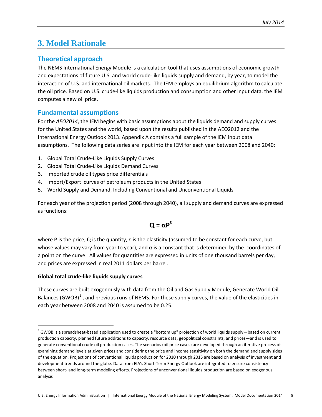# <span id="page-13-0"></span>**3. Model Rationale**

# <span id="page-13-1"></span>**Theoretical approach**

The NEMS International Energy Module is a calculation tool that uses assumptions of economic growth and expectations of future U.S. and world crude-like liquids supply and demand, by year, to model the interaction of U.S. and international oil markets. The IEM employs an equilibrium algorithm to calculate the oil price. Based on U.S. crude-like liquids production and consumption and other input data, the IEM computes a new oil price.

## <span id="page-13-2"></span>**Fundamental assumptions**

For the *AEO2014*, the IEM begins with basic assumptions about the liquids demand and supply curves for the United States and the world, based upon the results published in the AEO2012 and the International Energy Outlook 2013. Appendix A contains a full sample of the IEM input data assumptions. The following data series are input into the IEM for each year between 2008 and 2040:

- 1. Global Total Crude-Like Liquids Supply Curves
- 2. Global Total Crude-Like Liquids Demand Curves
- 3. Imported crude oil types price differentials
- 4. Import/Export curves of petroleum products in the United States
- 5. World Supply and Demand, Including Conventional and Unconventional Liquids

For each year of the projection period (2008 through 2040), all supply and demand curves are expressed as functions:

$$
Q = \alpha P^{\epsilon}
$$

where P is the price, Q is the quantity, ε is the elasticity (assumed to be constant for each curve, but whose values may vary from year to year), and  $\alpha$  is a constant that is determined by the coordinates of a point on the curve. All values for quantities are expressed in units of one thousand barrels per day, and prices are expressed in real 2011 dollars per barrel.

#### **Global total crude-like liquids supply curves**

These curves are built exogenously with data from the Oil and Gas Supply Module, Generate World Oil Balances (GWOB) $<sup>1</sup>$  $<sup>1</sup>$  $<sup>1</sup>$ , and previous runs of NEMS. For these supply curves, the value of the elasticities in</sup> each year between 2008 and 2040 is assumed to be 0.25.

<span id="page-13-3"></span> $1$  GWOB is a spreadsheet-based application used to create a "bottom up" projection of world liquids supply—based on current production capacity, planned future additions to capacity, resource data, geopolitical constraints, and prices—and is used to generate conventional crude oil production cases. The scenarios (oil price cases) are developed through an iterative process of examining demand levels at given prices and considering the price and income sensitivity on both the demand and supply sides of the equation. Projections of conventional liquids production for 2010 through 2015 are based on analysis of investment and development trends around the globe. Data from EIA's Short-Term Energy Outlook are integrated to ensure consistency between short- and long-term modeling efforts. Projections of unconventional liquids production are based on exogenous analysis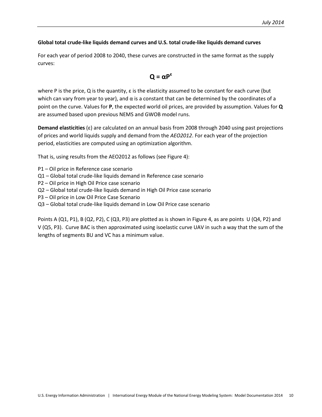#### **Global total crude-like liquids demand curves and U.S. total crude-like liquids demand curves**

For each year of period 2008 to 2040, these curves are constructed in the same format as the supply curves:

$$
Q = \alpha P^{\epsilon}
$$

where P is the price, Q is the quantity, ε is the elasticity assumed to be constant for each curve (but which can vary from year to year), and  $\alpha$  is a constant that can be determined by the coordinates of a point on the curve. Values for **P**, the expected world oil prices, are provided by assumption. Values for **Q** are assumed based upon previous NEMS and GWOB model runs.

**Demand elasticities** (ε) are calculated on an annual basis from 2008 through 2040 using past projections of prices and world liquids supply and demand from the *AEO2012*. For each year of the projection period, elasticities are computed using an optimization algorithm.

That is, using results from the AEO2012 as follows (see Figure 4):

- P1 Oil price in Reference case scenario
- Q1 Global total crude-like liquids demand in Reference case scenario
- P2 Oil price in High Oil Price case scenario
- Q2 Global total crude-like liquids demand in High Oil Price case scenario
- P3 Oil price in Low Oil Price Case Scenario
- Q3 Global total crude-like liquids demand in Low Oil Price case scenario

Points A (Q1, P1), B (Q2, P2), C (Q3, P3) are plotted as is shown in Figure 4, as are points U (Q4, P2) and V (Q5, P3). Curve BAC is then approximated using isoelastic curve UAV in such a way that the sum of the lengths of segments BU and VC has a minimum value.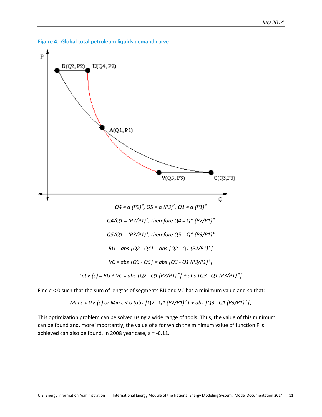

<span id="page-15-0"></span>

Find  $\epsilon$  < 0 such that the sum of lengths of segments BU and VC has a minimum value and so that:

Min 
$$
\varepsilon
$$
 < 0 F (ε) or Min  $\varepsilon$  < 0 (abs |Q2 - Q1 (P2/P1)<sup>ε</sup>| + abs |Q3 - Q1 (P3/P1)<sup>ε</sup>|)

This optimization problem can be solved using a wide range of tools. Thus, the value of this minimum can be found and, more importantly, the value of ε for which the minimum value of function F is achieved can also be found. In 2008 year case,  $\varepsilon$  = -0.11.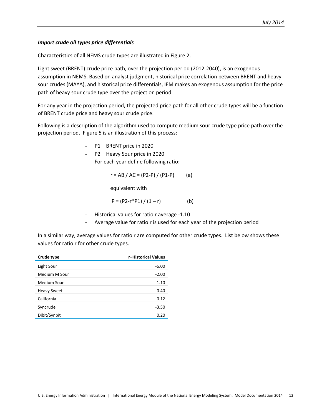#### *Import crude oil types price differentials*

Characteristics of all NEMS crude types are illustrated in Figure 2.

Light sweet (BRENT) crude price path, over the projection period (2012-2040), is an exogenous assumption in NEMS. Based on analyst judgment, historical price correlation between BRENT and heavy sour crudes (MAYA), and historical price differentials, IEM makes an exogenous assumption for the price path of heavy sour crude type over the projection period.

For any year in the projection period, the projected price path for all other crude types will be a function of BRENT crude price and heavy sour crude price.

Following is a description of the algorithm used to compute medium sour crude type price path over the projection period. Figure 5 is an illustration of this process:

- P1 BRENT price in 2020
- P2 Heavy Sour price in 2020
- For each year define following ratio:

$$
r = AB / AC = (P2-P) / (P1-P)
$$
 (a)

equivalent with

$$
P = (P2 - r^*P1) / (1 - r)
$$
 (b)

- Historical values for ratio r average -1.10
- Average value for ratio r is used for each year of the projection period

In a similar way, average values for ratio r are computed for other crude types. List below shows these values for ratio r for other crude types.

| Crude type         | r-Historical Values |
|--------------------|---------------------|
| Light Sour         | $-6.00$             |
| Medium M Sour      | $-2.00$             |
| Medium Soar        | $-1.10$             |
| <b>Heavy Sweet</b> | $-0.40$             |
| California         | 0.12                |
| Syncrude           | $-3.50$             |
| Dibit/Synbit       | 0.20                |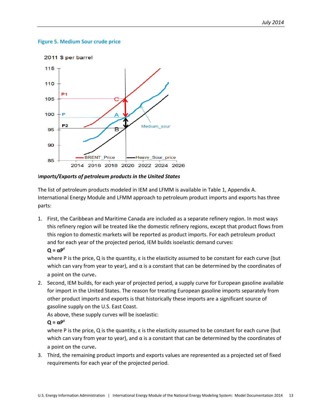#### <span id="page-17-0"></span>**Figure 5. Medium Sour crude price**



I*mports/Exports of petroleum products in the United States*

The list of petroleum products modeled in IEM and LFMM is available in Table 1, Appendix A. International Energy Module and LFMM approach to petroleum product imports and exports has three parts:

1. First, the Caribbean and Maritime Canada are included as a separate refinery region. In most ways this refinery region will be treated like the domestic refinery regions, except that product flows from this region to domestic markets will be reported as product imports. For each petroleum product and for each year of the projected period, IEM builds isoelastic demand curves: **Q = αP<sup>ε</sup>**

where P is the price, Q is the quantity, ε is the elasticity assumed to be constant for each curve (but which can vary from year to year), and  $\alpha$  is a constant that can be determined by the coordinates of a point on the curve.

2. Second, IEM builds, for each year of projected period, a supply curve for European gasoline available for import in the United States. The reason for treating European gasoline imports separately from other product imports and exports is that historically these imports are a significant source of gasoline supply on the U.S. East Coast.

As above, these supply curves will be isoelastic:

```
Q = \alpha P^{\epsilon}
```
where P is the price, Q is the quantity,  $\varepsilon$  is the elasticity assumed to be constant for each curve (but which can vary from year to year), and  $\alpha$  is a constant that can be determined by the coordinates of a point on the curve.

3. Third, the remaining product imports and exports values are represented as a projected set of fixed requirements for each year of the projected period.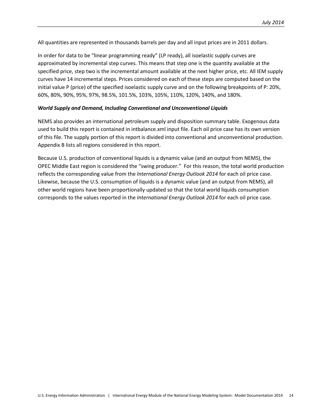All quantities are represented in thousands barrels per day and all input prices are in 2011 dollars.

In order for data to be "linear programming ready" (LP ready), all isoelastic supply curves are approximated by incremental step curves. This means that step one is the quantity available at the specified price, step two is the incremental amount available at the next higher price, etc. All IEM supply curves have 14 incremental steps. Prices considered on each of these steps are computed based on the initial value P (price) of the specified isoelastic supply curve and on the following breakpoints of P: 20%, 60%, 80%, 90%, 95%, 97%, 98.5%, 101.5%, 103%, 105%, 110%, 120%, 140%, and 180%.

#### *World Supply and Demand, Including Conventional and Unconventional Liquids*

NEMS also provides an international petroleum supply and disposition summary table. Exogenous data used to build this report is contained in intbalance.xml input file. Each oil price case has its own version of this file. The supply portion of this report is divided into conventional and unconventional production. Appendix B lists all regions considered in this report.

Because U.S. production of conventional liquids is a dynamic value (and an output from NEMS), the OPEC Middle East region is considered the "swing producer." For this reason, the total world production reflects the corresponding value from the *International Energy Outlook 2014* for each oil price case. Likewise, because the U.S. consumption of liquids is a dynamic value (and an output from NEMS), all other world regions have been proportionally updated so that the total world liquids consumption corresponds to the values reported in the *International Energy Outlook 2014* for each oil price case.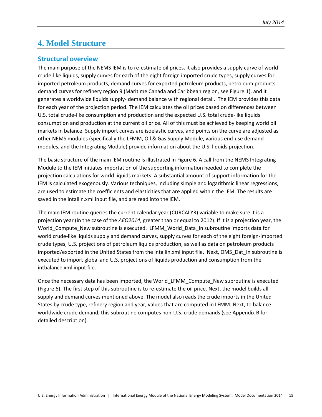# <span id="page-19-0"></span>**4. Model Structure**

### <span id="page-19-1"></span>**Structural overview**

The main purpose of the NEMS IEM is to re-estimate oil prices. It also provides a supply curve of world crude-like liquids, supply curves for each of the eight foreign imported crude types, supply curves for imported petroleum products, demand curves for exported petroleum products, petroleum products demand curves for refinery region 9 (Maritime Canada and Caribbean region, see Figure 1), and it generates a worldwide liquids supply- demand balance with regional detail. The IEM provides this data for each year of the projection period. The IEM calculates the oil prices based on differences between U.S. total crude-like consumption and production and the expected U.S. total crude-like liquids consumption and production at the current oil price. All of this must be achieved by keeping world oil markets in balance. Supply import curves are isoelastic curves, and points on the curve are adjusted as other NEMS modules (specifically the LFMM, Oil & Gas Supply Module, various end-use demand modules, and the Integrating Module) provide information about the U.S. liquids projection.

The basic structure of the main IEM routine is illustrated in Figure 6. A call from the NEMS Integrating Module to the IEM initiates importation of the supporting information needed to complete the projection calculations for world liquids markets. A substantial amount of support information for the IEM is calculated exogenously. Various techniques, including simple and logarithmic linear regressions, are used to estimate the coefficients and elasticities that are applied within the IEM. The results are saved in the intallin.xml input file, and are read into the IEM.

The main IEM routine queries the current calendar year (CURCALYR) variable to make sure it is a projection year (in the case of the *AEO2014*, greater than or equal to 2012). If it is a projection year, the World\_Compute\_New subroutine is executed. LFMM\_World\_Data\_In subroutine imports data for world crude-like liquids supply and demand curves, supply curves for each of the eight foreign-imported crude types, U.S. projections of petroleum liquids production, as well as data on petroleum products imported/exported in the United States from the intallin.xml input file. Next, OMS\_Dat\_In subroutine is executed to import global and U.S. projections of liquids production and consumption from the intbalance.xml input file.

Once the necessary data has been imported, the World\_LFMM\_Compute\_New subroutine is executed (Figure 6). The first step of this subroutine is to re-estimate the oil price. Next, the model builds all supply and demand curves mentioned above. The model also reads the crude imports in the United States by crude type, refinery region and year, values that are computed in LFMM. Next, to balance worldwide crude demand, this subroutine computes non-U.S. crude demands (see Appendix B for detailed description).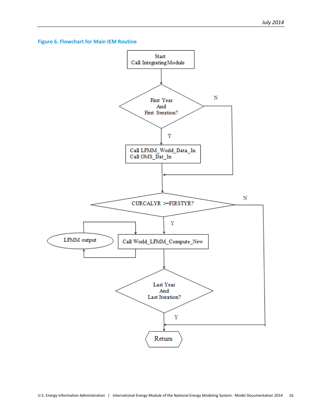<span id="page-20-0"></span>

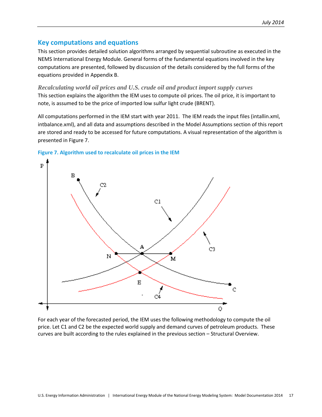### <span id="page-21-0"></span>**Key computations and equations**

This section provides detailed solution algorithms arranged by sequential subroutine as executed in the NEMS International Energy Module. General forms of the fundamental equations involved in the key computations are presented, followed by discussion of the details considered by the full forms of the equations provided in Appendix B.

<span id="page-21-1"></span>*Recalculating world oil prices and U.S. crude oil and product import supply curves* This section explains the algorithm the IEM uses to compute oil prices. The oil price, it is important to note, is assumed to be the price of imported low sulfur light crude (BRENT).

All computations performed in the IEM start with year 2011. The IEM reads the input files (intallin.xml, intbalance.xml), and all data and assumptions described in the Model Assumptions section of this report are stored and ready to be accessed for future computations. A visual representation of the algorithm is presented in Figure 7.



<span id="page-21-2"></span>

For each year of the forecasted period, the IEM uses the following methodology to compute the oil price. Let C1 and C2 be the expected world supply and demand curves of petroleum products. These curves are built according to the rules explained in the previous section – Structural Overview.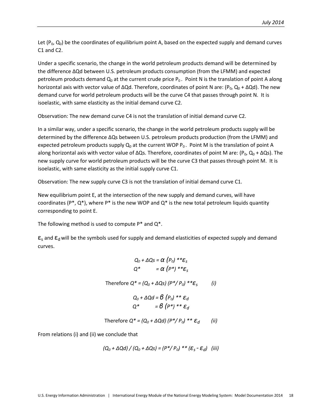Let  $(P_0, Q_0)$  be the coordinates of equilibrium point A, based on the expected supply and demand curves C1 and C2.

Under a specific scenario, the change in the world petroleum products demand will be determined by the difference ΔQd between U.S. petroleum products consumption (from the LFMM) and expected petroleum products demand  $Q_0$  at the current crude price  $P_0$ . Point N is the translation of point A along horizontal axis with vector value of ΔQd. Therefore, coordinates of point N are: (P<sub>0</sub>, Q<sub>0</sub> + ΔQd). The new demand curve for world petroleum products will be the curve C4 that passes through point N. It is isoelastic, with same elasticity as the initial demand curve C2.

Observation: The new demand curve C4 is not the translation of initial demand curve C2.

In a similar way, under a specific scenario, the change in the world petroleum products supply will be determined by the difference ΔQs between U.S. petroleum products production (from the LFMM) and expected petroleum products supply  $Q_0$  at the current WOP  $P_0$ . Point M is the translation of point A along horizontal axis with vector value of  $\Delta Qs$ . Therefore, coordinates of point M are: (P<sub>0</sub>, Q<sub>0</sub> +  $\Delta Qs$ ). The new supply curve for world petroleum products will be the curve C3 that passes through point M. It is isoelastic, with same elasticity as the initial supply curve C1.

Observation: The new supply curve C3 is not the translation of initial demand curve C1.

New equilibrium point E, at the intersection of the new supply and demand curves, will have coordinates ( $P^*$ ,  $Q^*$ ), where  $P^*$  is the new WOP and  $Q^*$  is the new total petroleum liquids quantity corresponding to point E.

The following method is used to compute  $P^*$  and  $Q^*$ .

 $\epsilon_{s}$  and  $\epsilon_{d}$  will be the symbols used for supply and demand elasticities of expected supply and demand curves.

$$
Q_0 + \Delta Q_S = \alpha \left(\rho_0\right) * * \varepsilon_S
$$
  

$$
Q^* = \alpha \left(\rho^*\right) * * \varepsilon_S
$$

Therefore 
$$
Q^* = (Q_0 + \Delta Q_s) (P^*/P_0)^{**} \mathcal{E}_s
$$
 (i)

$$
Q_0 + \Delta Q d = \mathcal{B} (P_0) * * \varepsilon_d
$$
  

$$
Q^* = \mathcal{B} (P^*) * * \varepsilon_d
$$

Therefore 
$$
Q^* = (Q_0 + \Delta Qd) (P^*/P_0)^{**} \varepsilon_d
$$
 (ii)

From relations (i) and (ii) we conclude that

$$
(Q_0 + \Delta Qd) / (Q_0 + \Delta Qs) = (P^* / P_0)^{**} (\mathcal{E}_s - \mathcal{E}_d)
$$
 (iii)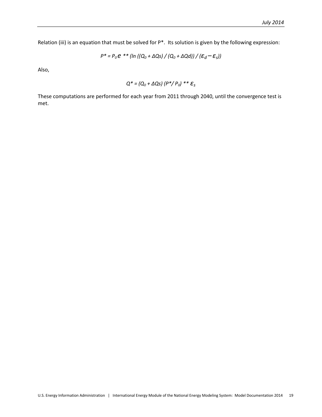Relation (iii) is an equation that must be solved for P\*. Its solution is given by the following expression:

$$
P^* = P_0 e^{**} \left( \ln \left( \left( Q_0 + \Delta Q_S \right) / \left( Q_0 + \Delta Q_d \right) \right) / \left( \mathcal{E}_d - \mathcal{E}_s \right) \right)
$$

Also,

$$
Q^* = (Q_0 + \Delta Qs) (P^*/P_0)^{**} \mathcal{E}_s
$$

These computations are performed for each year from 2011 through 2040, until the convergence test is met.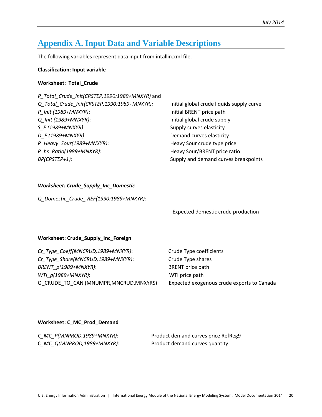# <span id="page-24-0"></span>**Appendix A. Input Data and Variable Descriptions**

The following variables represent data input from intallin.xml file.

#### **Classification: Input variable**

#### **Worksheet: Total\_Crude**

| Initial global crude liquids supply curve |
|-------------------------------------------|
| Initial BRENT price path                  |
| Initial global crude supply               |
| Supply curves elasticity                  |
| Demand curves elasticity                  |
| Heavy Sour crude type price               |
| Heavy Sour/BRENT price ratio              |
| Supply and demand curves breakpoints      |
|                                           |

#### *Worksheet: Crude\_Supply\_Inc\_Domestic*

*Q\_Domestic\_Crude\_ REF(1990:1989+MNXYR):*

Expected domestic crude production

#### **Worksheet: Crude\_Supply\_Inc\_Foreign**

| Cr Type Coeff(MNCRUD,1989+MNXYR):       | Crude Type coeffici |
|-----------------------------------------|---------------------|
| Cr Type Share(MNCRUD,1989+MNXYR):       | Crude Type shares   |
| BRENT p(1989+MNXYR):                    | BRENT price path    |
| WTI p(1989+MNXYR):                      | WTI price path      |
| Q CRUDE TO CAN (MNUMPR, MNCRUD, MNXYRS) | Expected exogenou   |

 $he$  coefficients exogenous crude exports to Canada

#### **Worksheet: C\_MC\_Prod\_Demand**

| C_MC_P(MNPROD,1989+MNXYR): | Product demand curves price RefReg9 |
|----------------------------|-------------------------------------|
| C_MC_Q(MNPROD,1989+MNXYR): | Product demand curves quantity      |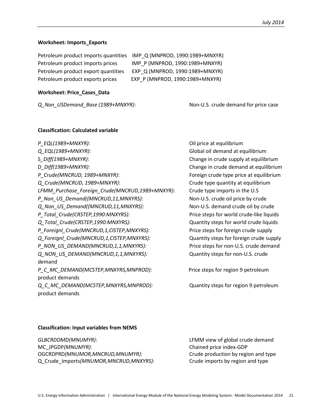#### **Worksheet: Imports\_Exports**

| Petroleum product imports quantities | IMP Q (MNPROD, 1990:1989+MNXYR) |
|--------------------------------------|---------------------------------|
| Petroleum product imports prices     | IMP P (MNPROD, 1990:1989+MNXYR) |
| Petroleum product export quantities  | EXP Q (MNPROD, 1990:1989+MNXYR) |
| Petroleum product exports prices     | EXP P (MNPROD, 1990:1989+MNXYR) |

#### **Worksheet: Price\_Cases\_Data**

*Q\_Non\_USDemand\_Base (1989+MNXYR)*: Non-U.S. crude demand for price case

#### **Classification: Calculated variable**

*P\_EQL(1989+MNXYR)*: Oil price at equilibrium *Q\_EQL(1989+MNXYR)*: Global oil demand at equilibrium S*\_Diff(1989+MNXYR)*: Change in crude supply at equilibrium D*\_Diff(1989+MNXYR)*: Change in crude demand at equilibrium *P\_Crude(MNCRUD, 1989+MNXYR)*: Foreign crude type price at equilibrium *Q\_Crude(MNCRUD, 1989+MNXYR)*: Crude type quantity at equilibrium *LFMM\_Purchase\_Foreign\_Crude(MNCRUD,1989+MNXYR)*: Crude type imports in the U.S *P\_Non\_US\_Demand((MNCRUD,11,MNXYRS):* Non-U.S. crude oil price by crude *Q\_Non\_US\_Demand((MNCRUD,11,MNXYRS):* Non-U.S. demand crude oil by crude *P\_Total\_Crude(CRSTEP,1990:MNXYRS):* Price steps for world crude-like liquids *Q\_Total\_Crude(CRSTEP,1990:MNXYRS):* Quantity steps for world crude liquids *P\_Foreignl\_Crude(MNCRUD,1,CISTEP,MNXYRS):* Price steps for foreign crude supply *Q\_Foreignl\_Crude(MNCRUD,1,CISTEP,MNXYRS):* Quantity steps for foreign crude supply *P\_NON\_US\_DEMAND(MNCRUD,1,1,MNXYRS):* Price steps for non-U.S. crude demand *Q\_NON\_US\_DEMAND(MNCRUD,1,1,MNXYRS):* Quantity steps for non-U.S. crude demand *P\_C\_MC\_DEMAND(MCSTEP,MNXYRS,MNPROD):* Price steps for region 9 petroleum product demands *Q\_C\_MC\_DEMAND(MCSTEP,MNXYRS,MNPROD):* Quantity steps for region 9 petroleum product demands

#### **Classification: Input variables from NEMS**

*GLBCRDDMD(MNUMYR)*: LFMM view of global crude demand MC\_JPGDP*(MNUMYR)*: Chained price index-GDP OGCRDPRD*(MNUMOR,MNCRUD,MNUMYR):* Crude production by region and type Q\_Crude\_Imports*(MNUMOR,MNCRUD,MNXYRS):* Crude imports by region and type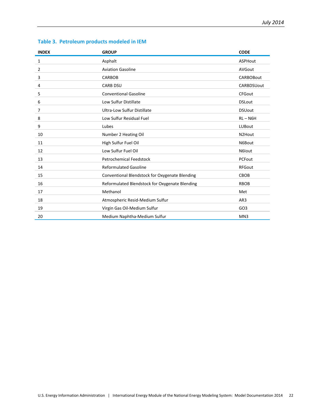| <b>INDEX</b> | <b>GROUP</b>                                   | <b>CODE</b>      |
|--------------|------------------------------------------------|------------------|
| 1            | Asphalt                                        | ASPHout          |
| 2            | <b>Aviation Gasoline</b>                       | <b>AVGout</b>    |
| 3            | <b>CARBOB</b>                                  | <b>CARBOBout</b> |
| 4            | <b>CARB DSU</b>                                | CARBDSUout       |
| 5            | <b>Conventional Gasoline</b>                   | <b>CFGout</b>    |
| 6            | Low Sulfur Distillate                          | <b>DSLout</b>    |
| 7            | <b>Ultra-Low Sulfur Distillate</b>             | <b>DSUout</b>    |
| 8            | Low Sulfur Residual Fuel                       | $RL - N6H$       |
| 9            | Lubes                                          | <b>LUBout</b>    |
| 10           | Number 2 Heating Oil                           | N2Hout           |
| 11           | High Sulfur Fuel Oil                           | N6Bout           |
| 12           | Low Sulfur Fuel Oil                            | N6lout           |
| 13           | <b>Petrochemical Feedstock</b>                 | PCFout           |
| 14           | <b>Reformulated Gasoline</b>                   | <b>RFGout</b>    |
| 15           | Conventional Blendstock for Oxygenate Blending | CBOB             |
| 16           | Reformulated Blendstock for Oxygenate Blending | <b>RBOB</b>      |
| 17           | Methanol                                       | Met              |
| 18           | Atmospheric Resid-Medium Sulfur                | AR3              |
| 19           | Virgin Gas Oil-Medium Sulfur                   | GO <sub>3</sub>  |
| 20           | Medium Naphtha-Medium Sulfur                   | MN <sub>3</sub>  |

# **Table 3. Petroleum products modeled in IEM**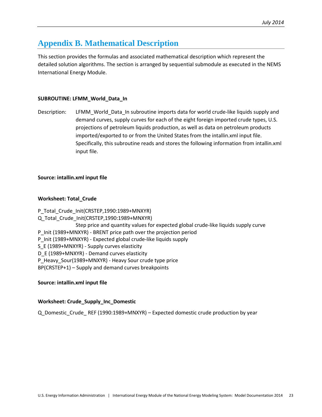# <span id="page-27-0"></span>**Appendix B. Mathematical Description**

This section provides the formulas and associated mathematical description which represent the detailed solution algorithms. The section is arranged by sequential submodule as executed in the NEMS International Energy Module.

#### **SUBROUTINE: LFMM\_World\_Data\_In**

Description: LFMM\_World\_Data\_In subroutine imports data for world crude-like liquids supply and demand curves, supply curves for each of the eight foreign imported crude types, U.S. projections of petroleum liquids production, as well as data on petroleum products imported/exported to or from the United States from the intallin.xml input file. Specifically, this subroutine reads and stores the following information from intallin.xml input file.

#### **Source: intallin.xml input file**

#### **Worksheet: Total\_Crude**

P\_Total\_Crude\_Init(CRSTEP,1990:1989+MNXYR) Q Total Crude Init(CRSTEP,1990:1989+MNXYR) Step price and quantity values for expected global crude-like liquids supply curve P\_Init (1989+MNXYR) - BRENT price path over the projection period P\_Init (1989+MNXYR) - Expected global crude-like liquids supply S E (1989+MNXYR) - Supply curves elasticity D\_E (1989+MNXYR) - Demand curves elasticity P Heavy Sour(1989+MNXYR) - Heavy Sour crude type price BP(CRSTEP+1) – Supply and demand curves breakpoints

#### **Source: intallin.xml input file**

#### **Worksheet: Crude\_Supply\_Inc\_Domestic**

Q\_Domestic\_Crude\_ REF (1990:1989+MNXYR) – Expected domestic crude production by year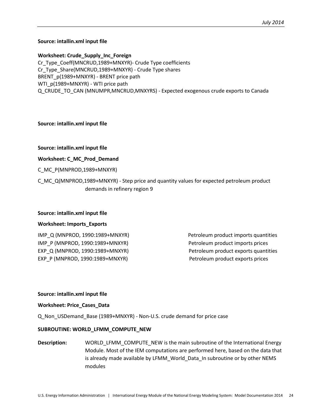#### **Source: intallin.xml input file**

**Worksheet: Crude\_Supply\_Inc\_Foreign** Cr\_Type\_Coeff(MNCRUD,1989+MNXYR)- Crude Type coefficients Cr\_Type\_Share(MNCRUD,1989+MNXYR) - Crude Type shares BRENT\_p(1989+MNXYR) - BRENT price path WTI\_p(1989+MNXYR) - WTI price path Q\_CRUDE\_TO\_CAN (MNUMPR,MNCRUD,MNXYRS) - Expected exogenous crude exports to Canada

#### **Source: intallin.xml input file**

#### **Source: intallin.xml input file**

#### **Worksheet: C\_MC\_Prod\_Demand**

C\_MC\_P(MNPROD,1989+MNXYR)

C\_MC\_Q(MNPROD,1989+MNXYR) - Step price and quantity values for expected petroleum product demands in refinery region 9

#### **Source: intallin.xml input file**

#### **Worksheet: Imports\_Exports**

IMP\_Q (MNPROD, 1990:1989+MNXYR) Petroleum product imports quantities IMP\_P (MNPROD, 1990:1989+MNXYR) Petroleum product imports prices EXP\_Q (MNPROD, 1990:1989+MNXYR) Petroleum product exports quantities EXP\_P (MNPROD, 1990:1989+MNXYR) Petroleum product exports prices

#### **Source: intallin.xml input file**

#### **Worksheet: Price\_Cases\_Data**

Q\_Non\_USDemand\_Base (1989+MNXYR) - Non-U.S. crude demand for price case

#### **SUBROUTINE: WORLD\_LFMM\_COMPUTE\_NEW**

**Description:** WORLD\_LFMM\_COMPUTE\_NEW is the main subroutine of the International Energy Module. Most of the IEM computations are performed here, based on the data that is already made available by LFMM\_World\_Data\_In subroutine or by other NEMS modules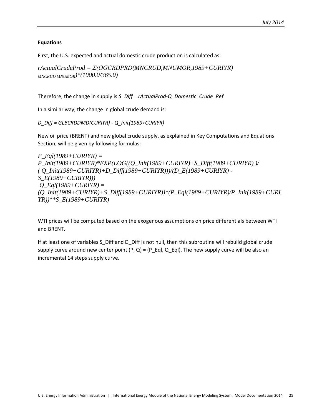#### **Equations**

First, the U.S. expected and actual domestic crude production is calculated as:

*rActualCrudeProd = Σ(OGCRDPRD(MNCRUD,MNUMOR,1989+CURIYR) MNCRUD,MNUMOR)\*(1000.0/365.0)*

Therefore, the change in supply is:*S\_Diff = rActualProd-Q\_Domestic\_Crude\_Ref*

In a similar way, the change in global crude demand is:

*D\_Diff = GLBCRDDMD(CURIYR) - Q\_Init(1989+CURIYR)* 

New oil price (BRENT) and new global crude supply, as explained in Key Computations and Equations Section, will be given by following formulas:

*P\_Eql(1989+CURIYR) = P\_Init(1989+CURIYR)\*EXP(LOG((Q\_Init(1989+CURIYR)+S\_Diff(1989+CURIYR) )/ ( Q\_Init(1989+CURIYR)+D\_Diff(1989+CURIYR)))/(D\_E(1989+CURIYR) - S\_E(1989+CURIYR))) Q\_Eql(1989+CURIYR) = (Q\_Init(1989+CURIYR)+S\_Diff(1989+CURIYR))\*(P\_Eql(1989+CURIYR)/P\_Init(1989+CURI YR))\*\*S\_E(1989+CURIYR)*

WTI prices will be computed based on the exogenous assumptions on price differentials between WTI and BRENT.

If at least one of variables S\_Diff and D\_Diff is not null, then this subroutine will rebuild global crude supply curve around new center point  $(P, Q) = (P_E qI, Q_E qI)$ . The new supply curve will be also an incremental 14 steps supply curve.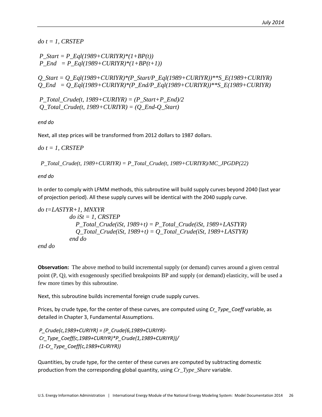*do t = 1, CRSTEP*

```
P_Start = P_Eql(1989+CURIYR)*(1+BP(t))
P\_End = P\_Eql(1989+CURIYR)*(1+BP(t+1))
```
*Q\_Start = Q\_Eql(1989+CURIYR)\*(P\_Start/P\_Eql(1989+CURIYR))\*\*S\_E(1989+CURIYR) Q\_End = Q\_Eql(1989+CURIYR)\*(P\_End/P\_Eql(1989+CURIYR))\*\*S\_E(1989+CURIYR)*

*P\_Total\_Crude(t, 1989+CURIYR) = (P\_Start+P\_End)/2 Q\_Total\_Crude(t, 1989+CURIYR) = (Q\_End-Q\_Start)* 

*end do* 

Next, all step prices will be transformed from 2012 dollars to 1987 dollars.

*do t = 1, CRSTEP*

 *P\_Total\_Crude(t, 1989+CURIYR) = P\_Total\_Crude(t, 1989+CURIYR)/MC\_JPGDP(22)* 

*end do* 

In order to comply with LFMM methods, this subroutine will build supply curves beyond 2040 (last year of projection period). All these supply curves will be identical with the 2040 supply curve.

```
do t=LASTYR+1, MNXYR
            do iSt = 1, CRSTEP
              P_Total_Crude(iSt, 1989+t) = P_Total_Crude(iSt, 1989+LASTYR)
              Q_Total_Crude(iSt, 1989+t) = Q_Total_Crude(iSt, 1989+LASTYR)
            end do
```
*end do* 

**Observation:** The above method to build incremental supply (or demand) curves around a given central point (P, Q*),* with exogenously specified breakpoints BP and supply (or demand) elasticity, will be used a few more times by this subroutine.

Next, this subroutine builds incremental foreign crude supply curves.

Prices, by crude type, for the center of these curves, are computed using *Cr\_Type\_Coeff* variable, as detailed in Chapter 3, Fundamental Assumptions.

*P\_Crude(c,1989+CURIYR) = (P\_Crude(6,1989+CURIYR)- Cr\_Type\_Coeff(c,1989+CURIYR)\*P\_Crude(1,1989+CURIYR))/ (1-Cr\_Type\_Coeff(c,1989+CURIYR))* 

Quantities, by crude type, for the center of these curves are computed by subtracting domestic production from the corresponding global quantity, using *Cr\_Type\_Share* variable.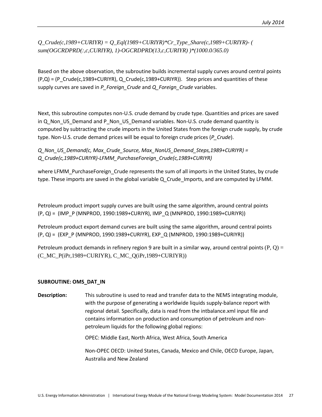*Q\_Crude(c,1989+CURIYR) = Q\_Eql(1989+CURIYR)\*Cr\_Type\_Share(c,1989+CURIYR)- ( sum(OGCRDPRD(:,c,CURIYR), 1)-OGCRDPRD(13,c,CURIYR) )\*(1000.0/365.0)* 

Based on the above observation, the subroutine builds incremental supply curves around central points  $(P,Q) = (P$  Crude(c,1989+CURIYR), Q\_Crude(c,1989+CURIYR)). Step prices and quantities of these supply curves are saved in *P\_Foreign\_Crude* and *Q\_Foreign\_Crude* variables.

Next, this subroutine computes non-U.S. crude demand by crude type. Quantities and prices are saved in Q\_Non\_US\_Demand and P\_Non\_US\_Demand variables. Non-U.S. crude demand quantity is computed by subtracting the crude imports in the United States from the foreign crude supply, by crude type. Non-U.S. crude demand prices will be equal to foreign crude prices (*P\_Crude*).

*Q\_Non\_US\_Demand(c, Max\_Crude\_Source, Max\_NonUS\_Demand\_Steps,1989+CURIYR) = Q\_Crude(c,1989+CURIYR)-LFMM\_PurchaseForeign\_Crude(c,1989+CURIYR)*

where LFMM\_PurchaseForeign\_Crude represents the sum of all imports in the United States, by crude type. These imports are saved in the global variable Q\_Crude\_Imports, and are computed by LFMM.

Petroleum product import supply curves are built using the same algorithm, around central points (P, Q) = (IMP\_P (MNPROD, 1990:1989+CURIYR), IMP\_Q (MNPROD, 1990:1989+CURIYR))

Petroleum product export demand curves are built using the same algorithm, around central points (P, Q) = (EXP\_P (MNPROD, 1990:1989+CURIYR), EXP\_Q (MNPROD, 1990:1989+CURIYR))

Petroleum product demands in refinery region 9 are built in a similar way, around central points (P, Q) = (C\_MC\_P(iPr,1989+CURIYR), C\_MC\_Q(iPr,1989+CURIYR))

#### **SUBROUTINE: OMS\_DAT\_IN**

**Description:** This subroutine is used to read and transfer data to the NEMS integrating module, with the purpose of generating a worldwide liquids supply-balance report with regional detail. Specifically, data is read from the intbalance.xml input file and contains information on production and consumption of petroleum and nonpetroleum liquids for the following global regions:

OPEC: Middle East, North Africa, West Africa, South America

Non-OPEC OECD: United States, Canada, Mexico and Chile, OECD Europe, Japan, Australia and New Zealand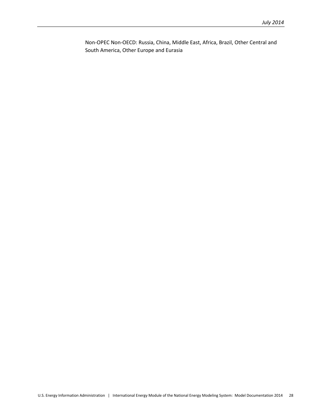Non-OPEC Non-OECD: Russia, China, Middle East, Africa, Brazil, Other Central and South America, Other Europe and Eurasia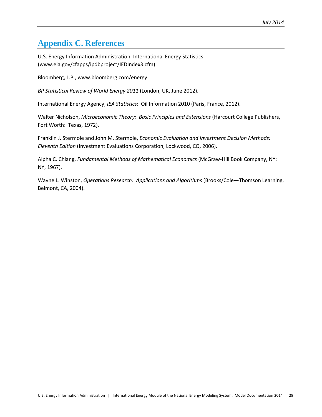# <span id="page-33-0"></span>**Appendix C. References**

U.S. Energy Information Administration, International Energy Statistics (www.eia.gov/cfapps/ipdbproject/IEDIndex3.cfm)

Bloomberg, L.P., www.bloomberg.com/energy.

*BP Statistical Review of World Energy 2011* (London, UK, June 2012).

International Energy Agency, *IEA Statistics*: Oil Information 2010 (Paris, France, 2012).

Walter Nicholson, *Microeconomic Theory: Basic Principles and Extensions* (Harcourt College Publishers, Fort Worth: Texas, 1972).

Franklin J. Stermole and John M. Stermole, *Economic Evaluation and Investment Decision Methods: Eleventh Edition* (Investment Evaluations Corporation, Lockwood, CO, 2006).

Alpha C. Chiang, *Fundamental Methods of Mathematical Economics* (McGraw-Hill Book Company, NY: NY, 1967).

Wayne L. Winston, *Operations Research: Applications and Algorithms* (Brooks/Cole—Thomson Learning, Belmont, CA, 2004).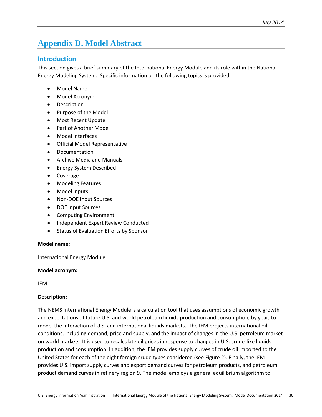# <span id="page-34-0"></span>**Appendix D. Model Abstract**

# <span id="page-34-1"></span>**Introduction**

This section gives a brief summary of the International Energy Module and its role within the National Energy Modeling System. Specific information on the following topics is provided:

- Model Name
- Model Acronym
- Description
- Purpose of the Model
- Most Recent Update
- Part of Another Model
- Model Interfaces
- Official Model Representative
- Documentation
- Archive Media and Manuals
- Energy System Described
- Coverage
- Modeling Features
- Model Inputs
- Non-DOE Input Sources
- DOE Input Sources
- Computing Environment
- Independent Expert Review Conducted
- Status of Evaluation Efforts by Sponsor

#### **Model name:**

International Energy Module

#### **Model acronym:**

IEM

#### **Description:**

The NEMS International Energy Module is a calculation tool that uses assumptions of economic growth and expectations of future U.S. and world petroleum liquids production and consumption, by year, to model the interaction of U.S. and international liquids markets. The IEM projects international oil conditions, including demand, price and supply, and the impact of changes in the U.S. petroleum market on world markets. It is used to recalculate oil prices in response to changes in U.S. crude-like liquids production and consumption. In addition, the IEM provides supply curves of crude oil imported to the United States for each of the eight foreign crude types considered (see Figure 2). Finally, the IEM provides U.S. import supply curves and export demand curves for petroleum products, and petroleum product demand curves in refinery region 9. The model employs a general equilibrium algorithm to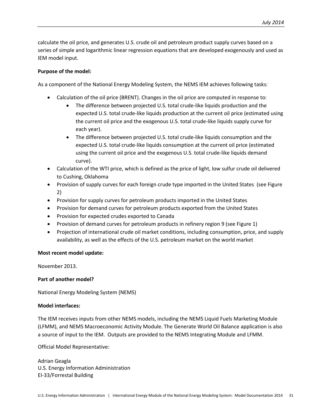calculate the oil price, and generates U.S. crude oil and petroleum product supply curves based on a series of simple and logarithmic linear regression equations that are developed exogenously and used as IEM model input.

#### **Purpose of the model:**

As a component of the National Energy Modeling System, the NEMS IEM achieves following tasks:

- Calculation of the oil price (BRENT). Changes in the oil price are computed in response to:
	- The difference between projected U.S. total crude-like liquids production and the expected U.S. total crude-like liquids production at the current oil price (estimated using the current oil price and the exogenous U.S. total crude-like liquids supply curve for each year).
	- The difference between projected U.S. total crude-like liquids consumption and the expected U.S. total crude-like liquids consumption at the current oil price (estimated using the current oil price and the exogenous U.S. total crude-like liquids demand curve).
- Calculation of the WTI price, which is defined as the price of light, low sulfur crude oil delivered to Cushing, Oklahoma
- Provision of supply curves for each foreign crude type imported in the United States (see Figure 2)
- Provision for supply curves for petroleum products imported in the United States
- Provision for demand curves for petroleum products exported from the United States
- Provision for expected crudes exported to Canada
- Provision of demand curves for petroleum products in refinery region 9 (see Figure 1)
- Projection of international crude oil market conditions, including consumption, price, and supply availability, as well as the effects of the U.S. petroleum market on the world market

#### **Most recent model update:**

November 2013.

### **Part of another model?**

National Energy Modeling System (NEMS)

#### **Model interfaces:**

The IEM receives inputs from other NEMS models, including the NEMS Liquid Fuels Marketing Module (LFMM), and NEMS Macroeconomic Activity Module. The Generate World Oil Balance application is also a source of input to the IEM. Outputs are provided to the NEMS Integrating Module and LFMM.

Official Model Representative:

Adrian Geagla U.S. Energy Information Administration EI-33/Forrestal Building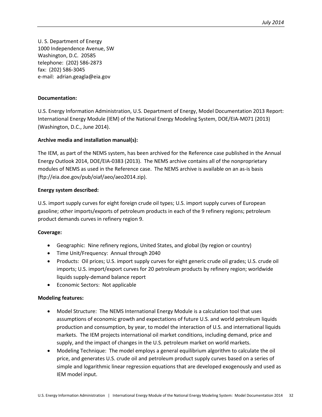U. S. Department of Energy 1000 Independence Avenue, SW Washington, D.C. 20585 telephone: (202) 586-2873 fax: (202) 586-3045 e-mail: adrian.geagla@eia.gov

#### **Documentation:**

U.S. Energy Information Administration, U.S. Department of Energy, Model Documentation 2013 Report: International Energy Module (IEM) of the National Energy Modeling System, DOE/EIA-M071 (2013) (Washington, D.C., June 2014).

#### **Archive media and installation manual(s):**

The IEM, as part of the NEMS system, has been archived for the Reference case published in the Annual Energy Outlook 2014, DOE/EIA-0383 (2013). The NEMS archive contains all of the nonproprietary modules of NEMS as used in the Reference case. The NEMS archive is available on an as-is basis (ftp://eia.doe.gov/pub/oiaf/aeo/aeo2014.zip).

#### **Energy system described:**

U.S. import supply curves for eight foreign crude oil types; U.S. import supply curves of European gasoline; other imports/exports of petroleum products in each of the 9 refinery regions; petroleum product demands curves in refinery region 9.

#### **Coverage:**

- Geographic: Nine refinery regions, United States, and global (by region or country)
- Time Unit/Frequency: Annual through 2040
- Products: Oil prices; U.S. import supply curves for eight generic crude oil grades; U.S. crude oil imports; U.S. import/export curves for 20 petroleum products by refinery region; worldwide liquids supply-demand balance report
- Economic Sectors: Not applicable

#### **Modeling features:**

- Model Structure: The NEMS International Energy Module is a calculation tool that uses assumptions of economic growth and expectations of future U.S. and world petroleum liquids production and consumption, by year, to model the interaction of U.S. and international liquids markets. The IEM projects international oil market conditions, including demand, price and supply, and the impact of changes in the U.S. petroleum market on world markets.
- Modeling Technique: The model employs a general equilibrium algorithm to calculate the oil price, and generates U.S. crude oil and petroleum product supply curves based on a series of simple and logarithmic linear regression equations that are developed exogenously and used as IEM model input.